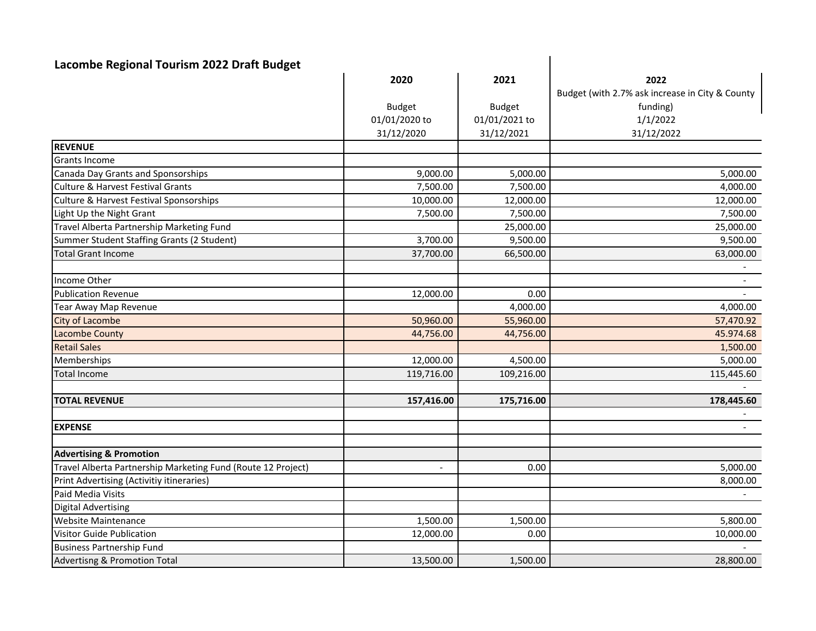| Lacombe Regional Tourism 2022 Draft Budget                   |                          |               |                                                 |  |
|--------------------------------------------------------------|--------------------------|---------------|-------------------------------------------------|--|
|                                                              | 2020                     | 2021          | 2022                                            |  |
|                                                              |                          |               | Budget (with 2.7% ask increase in City & County |  |
|                                                              | <b>Budget</b>            | <b>Budget</b> | funding)                                        |  |
|                                                              | 01/01/2020 to            | 01/01/2021 to | 1/1/2022                                        |  |
|                                                              | 31/12/2020               | 31/12/2021    | 31/12/2022                                      |  |
| <b>REVENUE</b>                                               |                          |               |                                                 |  |
| Grants Income                                                |                          |               |                                                 |  |
| Canada Day Grants and Sponsorships                           | 9,000.00                 | 5,000.00      | 5,000.00                                        |  |
| <b>Culture &amp; Harvest Festival Grants</b>                 | 7,500.00                 | 7,500.00      | 4,000.00                                        |  |
| <b>Culture &amp; Harvest Festival Sponsorships</b>           | 10,000.00                | 12,000.00     | 12,000.00                                       |  |
| Light Up the Night Grant                                     | 7,500.00                 | 7,500.00      | 7,500.00                                        |  |
| Travel Alberta Partnership Marketing Fund                    |                          | 25,000.00     | 25,000.00                                       |  |
| Summer Student Staffing Grants (2 Student)                   | 3,700.00                 | 9,500.00      | 9,500.00                                        |  |
| <b>Total Grant Income</b>                                    | 37,700.00                | 66,500.00     | 63,000.00                                       |  |
|                                                              |                          |               |                                                 |  |
| Income Other                                                 |                          |               |                                                 |  |
| <b>Publication Revenue</b>                                   | 12,000.00                | 0.00          | $\blacksquare$                                  |  |
| Tear Away Map Revenue                                        |                          | 4,000.00      | 4,000.00                                        |  |
| <b>City of Lacombe</b>                                       | 50,960.00                | 55,960.00     | 57,470.92                                       |  |
| <b>Lacombe County</b>                                        | 44,756.00                | 44,756.00     | 45.974.68                                       |  |
| <b>Retail Sales</b>                                          |                          |               | 1,500.00                                        |  |
| Memberships                                                  | 12,000.00                | 4,500.00      | 5,000.00                                        |  |
| <b>Total Income</b>                                          | 119,716.00               | 109,216.00    | 115,445.60                                      |  |
|                                                              |                          |               |                                                 |  |
| <b>TOTAL REVENUE</b>                                         | 157,416.00               | 175,716.00    | 178,445.60                                      |  |
| <b>EXPENSE</b>                                               |                          |               |                                                 |  |
|                                                              |                          |               |                                                 |  |
| <b>Advertising &amp; Promotion</b>                           |                          |               |                                                 |  |
| Travel Alberta Partnership Marketing Fund (Route 12 Project) | $\overline{\phantom{a}}$ | 0.00          | 5,000.00                                        |  |
| Print Advertising (Activitiy itineraries)                    |                          |               | 8,000.00                                        |  |
| Paid Media Visits                                            |                          |               |                                                 |  |
| <b>Digital Advertising</b>                                   |                          |               |                                                 |  |
| Website Maintenance                                          | 1,500.00                 | 1,500.00      | 5,800.00                                        |  |
| Visitor Guide Publication                                    | 12,000.00                | 0.00          | 10,000.00                                       |  |
| <b>Business Partnership Fund</b>                             |                          |               |                                                 |  |
| <b>Advertisng &amp; Promotion Total</b>                      | 13,500.00                | 1,500.00      | 28,800.00                                       |  |